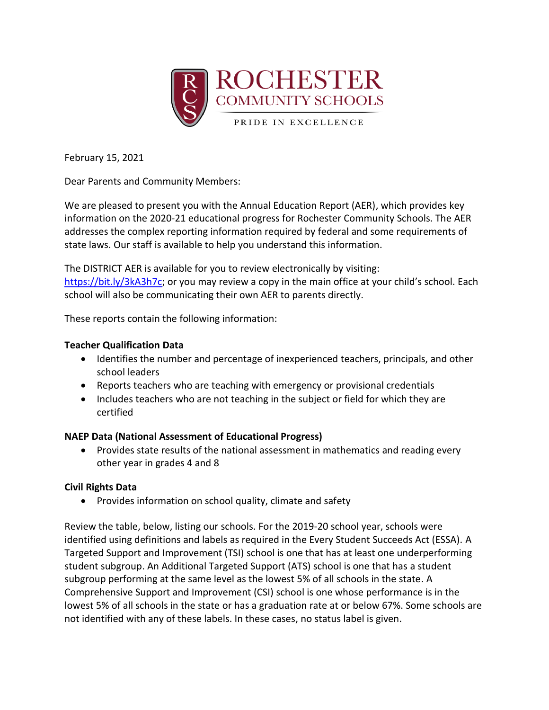

February 15, 2021

Dear Parents and Community Members:

We are pleased to present you with the Annual Education Report (AER), which provides key information on the 2020-21 educational progress for Rochester Community Schools. The AER addresses the complex reporting information required by federal and some requirements of state laws. Our staff is available to help you understand this information.

The DISTRICT AER is available for you to review electronically by visiting: [https://bit.ly/3kA3h7c;](https://bit.ly/3kA3h7c) or you may review a copy in the main office at your child's school. Each school will also be communicating their own AER to parents directly.

These reports contain the following information:

## **Teacher Qualification Data**

- Identifies the number and percentage of inexperienced teachers, principals, and other school leaders
- Reports teachers who are teaching with emergency or provisional credentials
- Includes teachers who are not teaching in the subject or field for which they are certified

## **NAEP Data (National Assessment of Educational Progress)**

 Provides state results of the national assessment in mathematics and reading every other year in grades 4 and 8

## **Civil Rights Data**

• Provides information on school quality, climate and safety

Review the table, below, listing our schools. For the 2019-20 school year, schools were identified using definitions and labels as required in the Every Student Succeeds Act (ESSA). A Targeted Support and Improvement (TSI) school is one that has at least one underperforming student subgroup. An Additional Targeted Support (ATS) school is one that has a student subgroup performing at the same level as the lowest 5% of all schools in the state. A Comprehensive Support and Improvement (CSI) school is one whose performance is in the lowest 5% of all schools in the state or has a graduation rate at or below 67%. Some schools are not identified with any of these labels. In these cases, no status label is given.